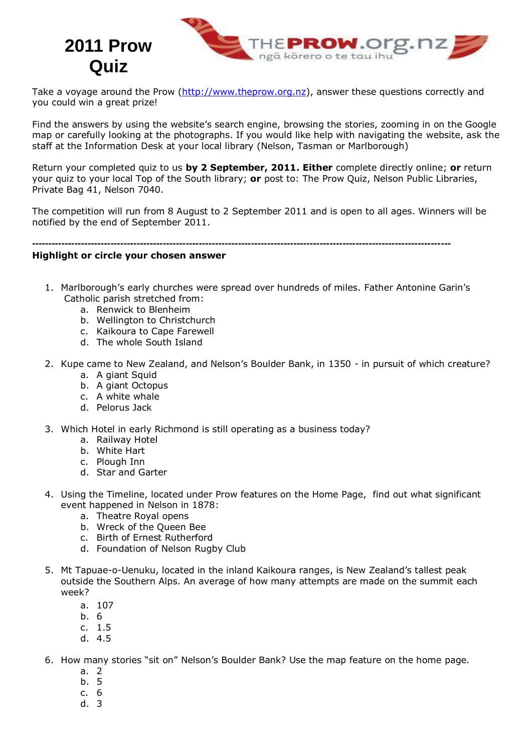

Take a voyage around the Prow [\(http://www.theprow.org.nz\)](http://www.theprow.org.nz/), answer these questions correctly and you could win a great prize!

Find the answers by using the website's search engine, browsing the stories, zooming in on the Google map or carefully looking at the photographs. If you would like help with navigating the website, ask the staff at the Information Desk at your local library (Nelson, Tasman or Marlborough)

Return your completed quiz to us **by 2 September, 2011. Either** complete directly online; **or** return your quiz to your local Top of the South library; **or** post to: The Prow Quiz, Nelson Public Libraries, Private Bag 41, Nelson 7040.

The competition will run from 8 August to 2 September 2011 and is open to all ages. Winners will be notified by the end of September 2011.

**--------------------------------------------------------------------------------------------------------------------------------**

## **Highlight or circle your chosen answer**

**Quiz**

- 1. Marlborough's early churches were spread over hundreds of miles. Father Antonine Garin's Catholic parish stretched from:
	- a. Renwick to Blenheim
	- b. Wellington to Christchurch
	- c. Kaikoura to Cape Farewell
	- d. The whole South Island
- 2. Kupe came to New Zealand, and Nelson's Boulder Bank, in 1350 in pursuit of which creature?
	- a. A giant Squid
	- b. A giant Octopus
	- c. A white whale
	- d. Pelorus Jack
- 3. Which Hotel in early Richmond is still operating as a business today?
	- a. Railway Hotel
	- b. White Hart
	- c. Plough Inn
	- d. Star and Garter
- 4. Using the Timeline, located under Prow features on the Home Page, find out what significant event happened in Nelson in 1878:
	- a. Theatre Royal opens
	- b. Wreck of the Queen Bee
	- c. Birth of Ernest Rutherford
	- d. Foundation of Nelson Rugby Club
- 5. Mt Tapuae-o-Uenuku, located in the inland Kaikoura ranges, is New Zealand's tallest peak outside the Southern Alps. An average of how many attempts are made on the summit each week?
	- a. 107
	- b. 6
	- c. 1.5
	- d. 4.5
- 6. How many stories "sit on" Nelson's Boulder Bank? Use the map feature on the home page.
	- a. 2
	- b. 5
	- c. 6
	- d. 3